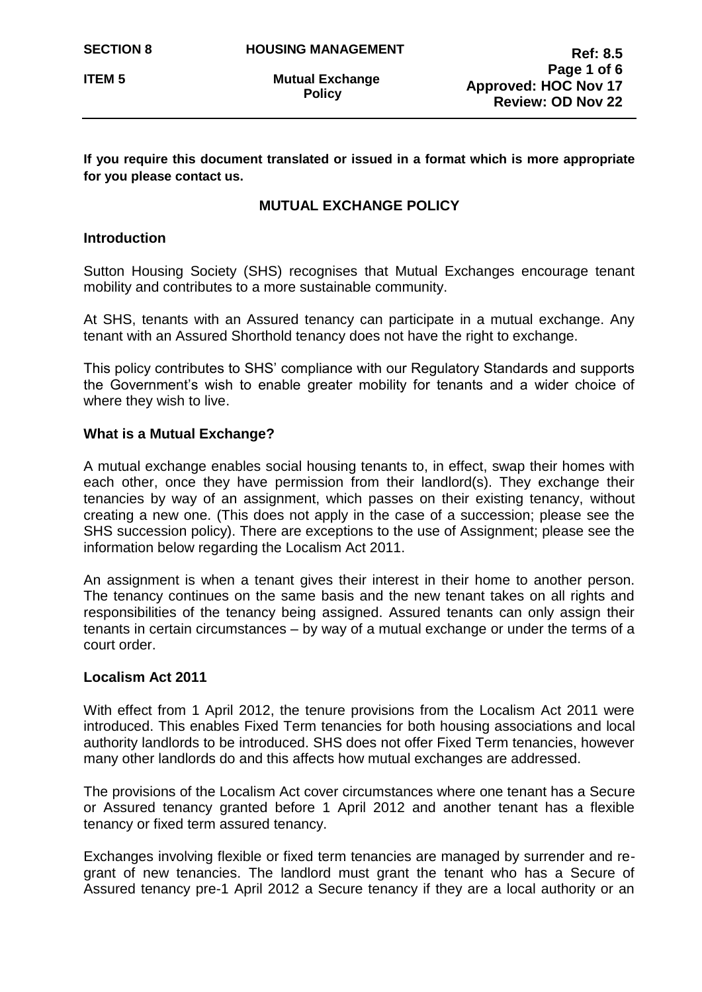**If you require this document translated or issued in a format which is more appropriate for you please contact us.**

## **MUTUAL EXCHANGE POLICY**

#### **Introduction**

Sutton Housing Society (SHS) recognises that Mutual Exchanges encourage tenant mobility and contributes to a more sustainable community.

At SHS, tenants with an Assured tenancy can participate in a mutual exchange. Any tenant with an Assured Shorthold tenancy does not have the right to exchange.

This policy contributes to SHS' compliance with our Regulatory Standards and supports the Government's wish to enable greater mobility for tenants and a wider choice of where they wish to live.

#### **What is a Mutual Exchange?**

A mutual exchange enables social housing tenants to, in effect, swap their homes with each other, once they have permission from their landlord(s). They exchange their tenancies by way of an assignment, which passes on their existing tenancy, without creating a new one. (This does not apply in the case of a succession; please see the SHS succession policy). There are exceptions to the use of Assignment; please see the information below regarding the Localism Act 2011.

An assignment is when a tenant gives their interest in their home to another person. The tenancy continues on the same basis and the new tenant takes on all rights and responsibilities of the tenancy being assigned. Assured tenants can only assign their tenants in certain circumstances – by way of a mutual exchange or under the terms of a court order.

#### **Localism Act 2011**

With effect from 1 April 2012, the tenure provisions from the Localism Act 2011 were introduced. This enables Fixed Term tenancies for both housing associations and local authority landlords to be introduced. SHS does not offer Fixed Term tenancies, however many other landlords do and this affects how mutual exchanges are addressed.

The provisions of the Localism Act cover circumstances where one tenant has a Secure or Assured tenancy granted before 1 April 2012 and another tenant has a flexible tenancy or fixed term assured tenancy.

Exchanges involving flexible or fixed term tenancies are managed by surrender and regrant of new tenancies. The landlord must grant the tenant who has a Secure of Assured tenancy pre-1 April 2012 a Secure tenancy if they are a local authority or an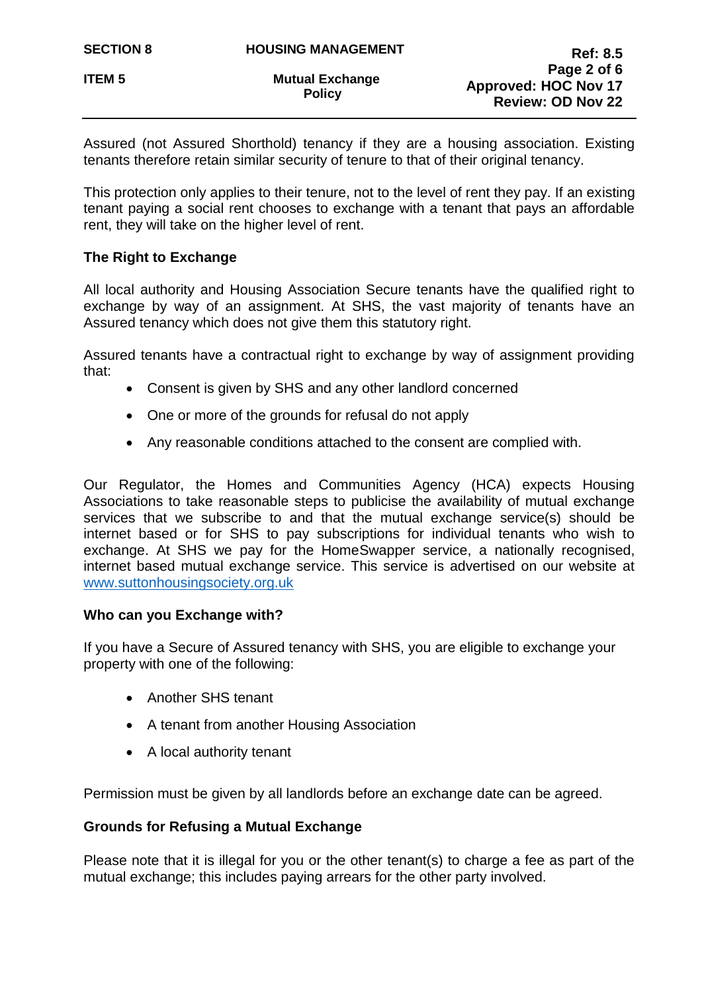**Ref: 8.5**

Assured (not Assured Shorthold) tenancy if they are a housing association. Existing tenants therefore retain similar security of tenure to that of their original tenancy.

This protection only applies to their tenure, not to the level of rent they pay. If an existing tenant paying a social rent chooses to exchange with a tenant that pays an affordable rent, they will take on the higher level of rent.

# **The Right to Exchange**

All local authority and Housing Association Secure tenants have the qualified right to exchange by way of an assignment. At SHS, the vast majority of tenants have an Assured tenancy which does not give them this statutory right.

Assured tenants have a contractual right to exchange by way of assignment providing that:

- Consent is given by SHS and any other landlord concerned
- One or more of the grounds for refusal do not apply
- Any reasonable conditions attached to the consent are complied with.

Our Regulator, the Homes and Communities Agency (HCA) expects Housing Associations to take reasonable steps to publicise the availability of mutual exchange services that we subscribe to and that the mutual exchange service(s) should be internet based or for SHS to pay subscriptions for individual tenants who wish to exchange. At SHS we pay for the HomeSwapper service, a nationally recognised, internet based mutual exchange service. This service is advertised on our website at [www.suttonhousingsociety.org.uk](http://www.suttonhousingsociety.org.uk/)

### **Who can you Exchange with?**

If you have a Secure of Assured tenancy with SHS, you are eligible to exchange your property with one of the following:

- Another SHS tenant
- A tenant from another Housing Association
- A local authority tenant

Permission must be given by all landlords before an exchange date can be agreed.

### **Grounds for Refusing a Mutual Exchange**

Please note that it is illegal for you or the other tenant(s) to charge a fee as part of the mutual exchange; this includes paying arrears for the other party involved.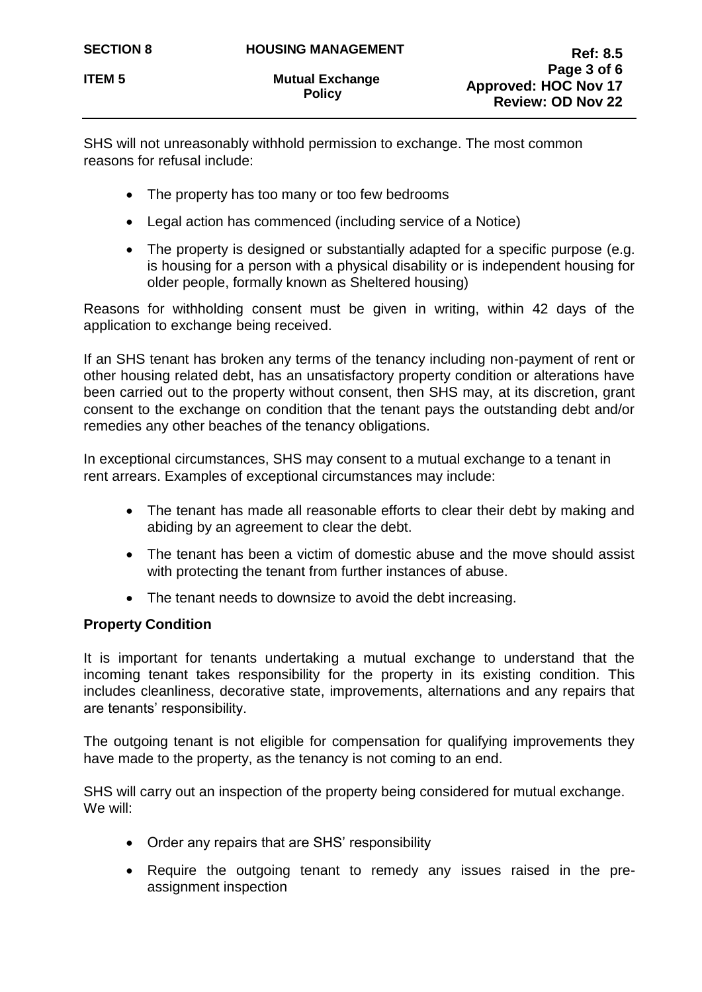| <b>SECTION 8</b> | <b>HOUSING MANAGEMENT</b>               | <b>Ref: 8.5</b>                                                        |
|------------------|-----------------------------------------|------------------------------------------------------------------------|
| <b>ITEM 5</b>    | <b>Mutual Exchange</b><br><b>Policy</b> | Page 3 of 6<br><b>Approved: HOC Nov 17</b><br><b>Review: OD Nov 22</b> |
|                  |                                         |                                                                        |

SHS will not unreasonably withhold permission to exchange. The most common reasons for refusal include:

- The property has too many or too few bedrooms
- Legal action has commenced (including service of a Notice)
- The property is designed or substantially adapted for a specific purpose (e.g. is housing for a person with a physical disability or is independent housing for older people, formally known as Sheltered housing)

Reasons for withholding consent must be given in writing, within 42 days of the application to exchange being received.

If an SHS tenant has broken any terms of the tenancy including non-payment of rent or other housing related debt, has an unsatisfactory property condition or alterations have been carried out to the property without consent, then SHS may, at its discretion, grant consent to the exchange on condition that the tenant pays the outstanding debt and/or remedies any other beaches of the tenancy obligations.

In exceptional circumstances, SHS may consent to a mutual exchange to a tenant in rent arrears. Examples of exceptional circumstances may include:

- The tenant has made all reasonable efforts to clear their debt by making and abiding by an agreement to clear the debt.
- The tenant has been a victim of domestic abuse and the move should assist with protecting the tenant from further instances of abuse.
- The tenant needs to downsize to avoid the debt increasing.

### **Property Condition**

It is important for tenants undertaking a mutual exchange to understand that the incoming tenant takes responsibility for the property in its existing condition. This includes cleanliness, decorative state, improvements, alternations and any repairs that are tenants' responsibility.

The outgoing tenant is not eligible for compensation for qualifying improvements they have made to the property, as the tenancy is not coming to an end.

SHS will carry out an inspection of the property being considered for mutual exchange. We will:

- Order any repairs that are SHS' responsibility
- Require the outgoing tenant to remedy any issues raised in the preassignment inspection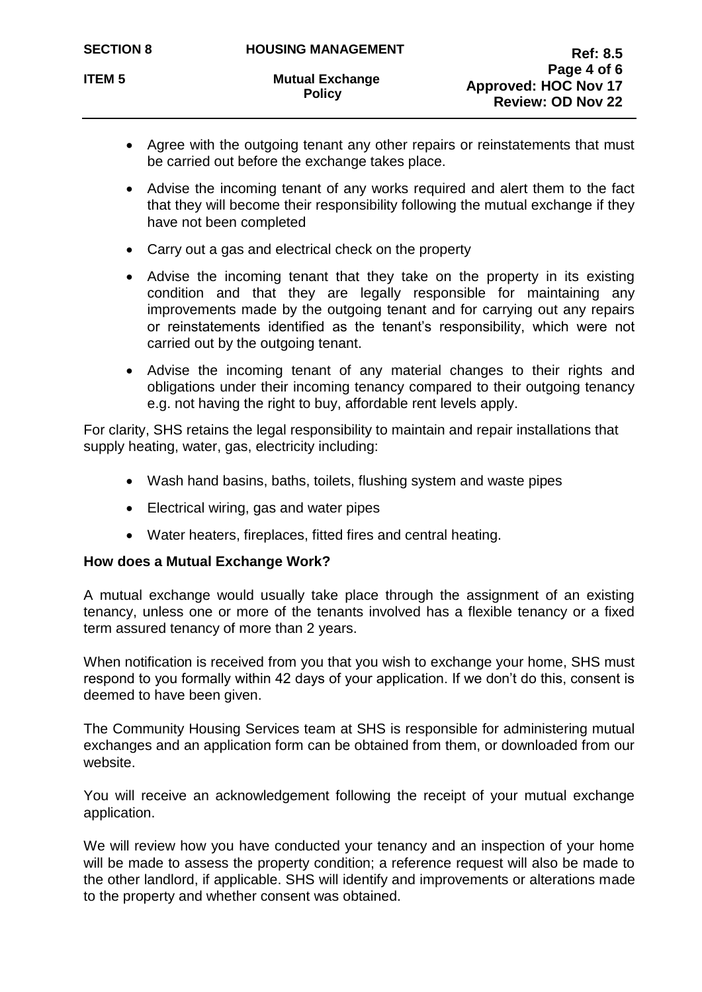**Policy**

**ITEM 5** Mutual Exchange

- Agree with the outgoing tenant any other repairs or reinstatements that must be carried out before the exchange takes place.
- Advise the incoming tenant of any works required and alert them to the fact that they will become their responsibility following the mutual exchange if they have not been completed
- Carry out a gas and electrical check on the property
- Advise the incoming tenant that they take on the property in its existing condition and that they are legally responsible for maintaining any improvements made by the outgoing tenant and for carrying out any repairs or reinstatements identified as the tenant's responsibility, which were not carried out by the outgoing tenant.
- Advise the incoming tenant of any material changes to their rights and obligations under their incoming tenancy compared to their outgoing tenancy e.g. not having the right to buy, affordable rent levels apply.

For clarity, SHS retains the legal responsibility to maintain and repair installations that supply heating, water, gas, electricity including:

- Wash hand basins, baths, toilets, flushing system and waste pipes
- Electrical wiring, gas and water pipes
- Water heaters, fireplaces, fitted fires and central heating.

### **How does a Mutual Exchange Work?**

A mutual exchange would usually take place through the assignment of an existing tenancy, unless one or more of the tenants involved has a flexible tenancy or a fixed term assured tenancy of more than 2 years.

When notification is received from you that you wish to exchange your home, SHS must respond to you formally within 42 days of your application. If we don't do this, consent is deemed to have been given.

The Community Housing Services team at SHS is responsible for administering mutual exchanges and an application form can be obtained from them, or downloaded from our website.

You will receive an acknowledgement following the receipt of your mutual exchange application.

We will review how you have conducted your tenancy and an inspection of your home will be made to assess the property condition; a reference request will also be made to the other landlord, if applicable. SHS will identify and improvements or alterations made to the property and whether consent was obtained.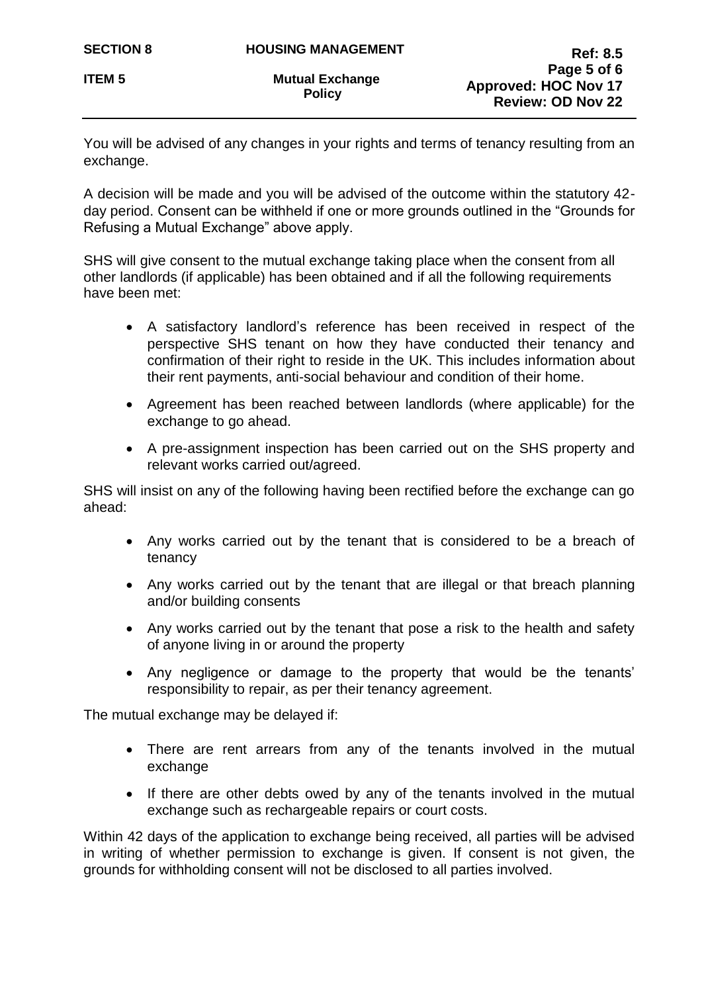**Policy**

You will be advised of any changes in your rights and terms of tenancy resulting from an exchange.

A decision will be made and you will be advised of the outcome within the statutory 42 day period. Consent can be withheld if one or more grounds outlined in the "Grounds for Refusing a Mutual Exchange" above apply.

SHS will give consent to the mutual exchange taking place when the consent from all other landlords (if applicable) has been obtained and if all the following requirements have been met:

- A satisfactory landlord's reference has been received in respect of the perspective SHS tenant on how they have conducted their tenancy and confirmation of their right to reside in the UK. This includes information about their rent payments, anti-social behaviour and condition of their home.
- Agreement has been reached between landlords (where applicable) for the exchange to go ahead.
- A pre-assignment inspection has been carried out on the SHS property and relevant works carried out/agreed.

SHS will insist on any of the following having been rectified before the exchange can go ahead:

- Any works carried out by the tenant that is considered to be a breach of tenancy
- Any works carried out by the tenant that are illegal or that breach planning and/or building consents
- Any works carried out by the tenant that pose a risk to the health and safety of anyone living in or around the property
- Any negligence or damage to the property that would be the tenants' responsibility to repair, as per their tenancy agreement.

The mutual exchange may be delayed if:

- There are rent arrears from any of the tenants involved in the mutual exchange
- If there are other debts owed by any of the tenants involved in the mutual exchange such as rechargeable repairs or court costs.

Within 42 days of the application to exchange being received, all parties will be advised in writing of whether permission to exchange is given. If consent is not given, the grounds for withholding consent will not be disclosed to all parties involved.